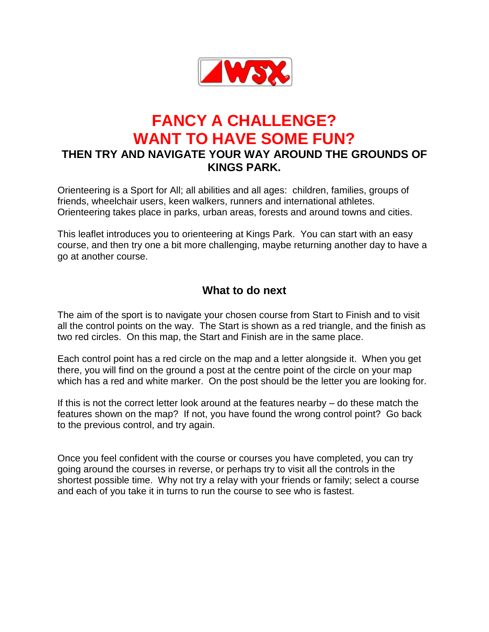

# **FANCY A CHALLENGE? WANT TO HAVE SOME FUN?**

# **THEN TRY AND NAVIGATE YOUR WAY AROUND THE GROUNDS OF KINGS PARK.**

Orienteering is a Sport for All; all abilities and all ages: children, families, groups of friends, wheelchair users, keen walkers, runners and international athletes. Orienteering takes place in parks, urban areas, forests and around towns and cities.

This leaflet introduces you to orienteering at Kings Park. You can start with an easy course, and then try one a bit more challenging, maybe returning another day to have a go at another course.

### **What to do next**

The aim of the sport is to navigate your chosen course from Start to Finish and to visit all the control points on the way. The Start is shown as a red triangle, and the finish as two red circles. On this map, the Start and Finish are in the same place.

Each control point has a red circle on the map and a letter alongside it. When you get there, you will find on the ground a post at the centre point of the circle on your map which has a red and white marker. On the post should be the letter you are looking for.

If this is not the correct letter look around at the features nearby – do these match the features shown on the map? If not, you have found the wrong control point? Go back to the previous control, and try again.

Once you feel confident with the course or courses you have completed, you can try going around the courses in reverse, or perhaps try to visit all the controls in the shortest possible time. Why not try a relay with your friends or family; select a course and each of you take it in turns to run the course to see who is fastest.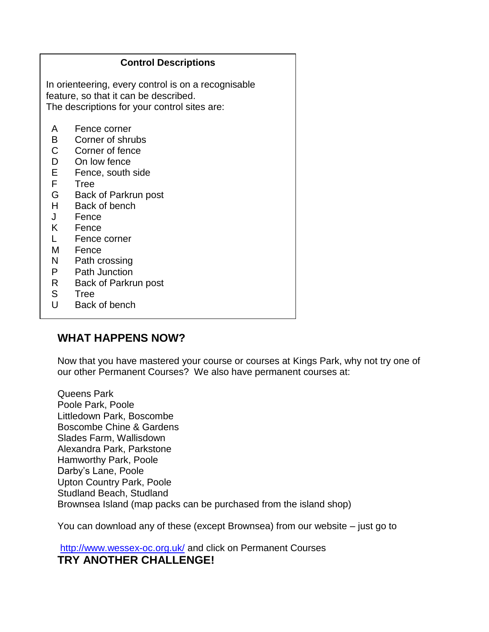| <b>Control Descriptions</b>                                                                                                                  |                                                                                                                                                                                                       |
|----------------------------------------------------------------------------------------------------------------------------------------------|-------------------------------------------------------------------------------------------------------------------------------------------------------------------------------------------------------|
| In orienteering, every control is on a recognisable<br>feature, so that it can be described.<br>The descriptions for your control sites are: |                                                                                                                                                                                                       |
| A<br>$\mathsf{B}$<br>$\mathsf{C}$<br>D<br>E.<br>F.<br>G<br>H<br>J<br>K<br>M –<br>N.                                                          | Fence corner<br>Corner of shrubs<br>Corner of fence<br>On low fence<br>Fence, south side<br>Tree<br>Back of Parkrun post<br>Back of bench<br>Fence<br>Fence<br>Fence corner<br>Fence<br>Path crossing |
| P.<br>$R_{\parallel}$<br>S<br>U                                                                                                              | Path Junction<br>Back of Parkrun post<br>Tree<br>Back of bench                                                                                                                                        |

#### **WHAT HAPPENS NOW?**

 $\overline{a}$ 

Now that you have mastered your course or courses at Kings Park, why not try one of our other Permanent Courses? We also have permanent courses at:

Queens Park Poole Park, Poole Littledown Park, Boscombe Boscombe Chine & Gardens Slades Farm, Wallisdown Alexandra Park, Parkstone Hamworthy Park, Poole Darby's Lane, Poole Upton Country Park, Poole Studland Beach, Studland Brownsea Island (map packs can be purchased from the island shop)

You can download any of these (except Brownsea) from our website – just go to

<http://www.wessex-oc.org.uk/> and click on Permanent Courses **TRY ANOTHER CHALLENGE!**